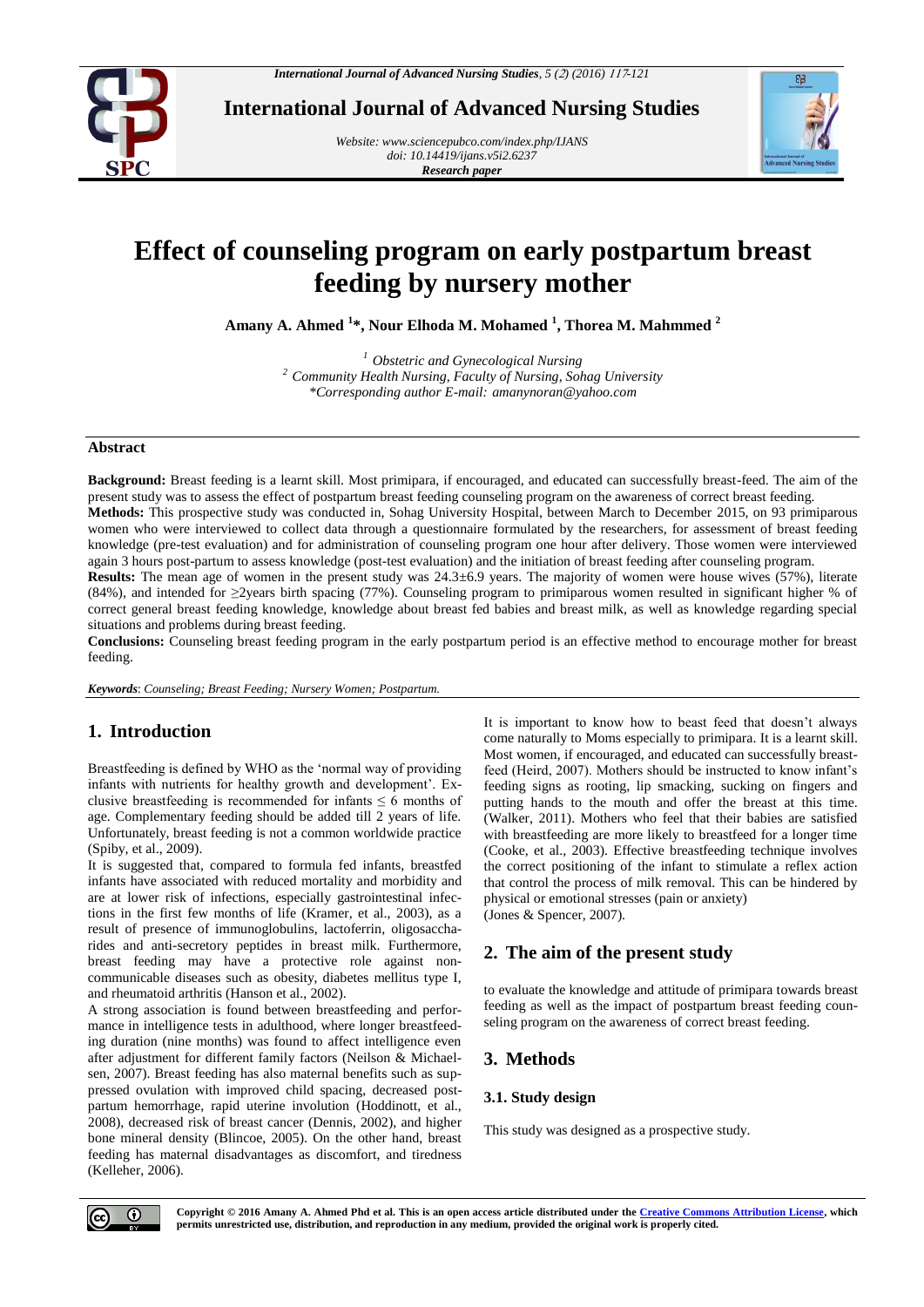

**International Journal of Advanced Nursing Studies**

*Website[: www.sciencepubco.com/index.php/IJANS](http://www.sciencepubco.com/index.php/IJANS) doi: 10.14419/ijans.v5i2.6237 Research paper*



# **Effect of counseling program on early postpartum breast feeding by nursery mother**

**Amany A. Ahmed <sup>1</sup> \*, Nour Elhoda M. Mohamed <sup>1</sup> , Thorea M. Mahmmed <sup>2</sup>**

*<sup>1</sup> Obstetric and Gynecological Nursing <sup>2</sup> Community Health Nursing, Faculty of Nursing, Sohag University \*Corresponding author E-mail: amanynoran@yahoo.com*

#### **Abstract**

**Background:** Breast feeding is a learnt skill. Most primipara, if encouraged, and educated can successfully breast-feed. The aim of the present study was to assess the effect of postpartum breast feeding counseling program on the awareness of correct breast feeding.

**Methods:** This prospective study was conducted in, Sohag University Hospital, between March to December 2015, on 93 primiparous women who were interviewed to collect data through a questionnaire formulated by the researchers, for assessment of breast feeding knowledge (pre-test evaluation) and for administration of counseling program one hour after delivery. Those women were interviewed again 3 hours post-partum to assess knowledge (post-test evaluation) and the initiation of breast feeding after counseling program.

**Results:** The mean age of women in the present study was 24.3±6.9 years. The majority of women were house wives (57%), literate (84%), and intended for ≥2years birth spacing (77%). Counseling program to primiparous women resulted in significant higher % of correct general breast feeding knowledge, knowledge about breast fed babies and breast milk, as well as knowledge regarding special situations and problems during breast feeding.

**Conclusions:** Counseling breast feeding program in the early postpartum period is an effective method to encourage mother for breast feeding.

*Keywords*: *Counseling; Breast Feeding; Nursery Women; Postpartum.*

# **1. Introduction**

Breastfeeding is defined by WHO as the 'normal way of providing infants with nutrients for healthy growth and development'. Exclusive breastfeeding is recommended for infants  $\leq 6$  months of age. Complementary feeding should be added till 2 years of life. Unfortunately, breast feeding is not a common worldwide practice (Spiby, et al., 2009).

It is suggested that, compared to formula fed infants, breastfed infants have associated with reduced mortality and morbidity and are at lower risk of infections, especially gastrointestinal infections in the first few months of life (Kramer, et al., 2003), as a result of presence of immunoglobulins, lactoferrin, oligosaccharides and anti-secretory peptides in breast milk. Furthermore, breast feeding may have a protective role against noncommunicable diseases such as obesity, diabetes mellitus type I, and rheumatoid arthritis (Hanson et al., 2002).

A strong association is found between breastfeeding and performance in intelligence tests in adulthood, where longer breastfeeding duration (nine months) was found to affect intelligence even after adjustment for different family factors (Neilson & Michaelsen, 2007). Breast feeding has also maternal benefits such as suppressed ovulation with improved child spacing, decreased postpartum hemorrhage, rapid uterine involution (Hoddinott, et al., 2008), decreased risk of breast cancer (Dennis, 2002), and higher bone mineral density (Blincoe, 2005). On the other hand, breast feeding has maternal disadvantages as discomfort, and tiredness (Kelleher, 2006).

It is important to know how to beast feed that doesn't always come naturally to Moms especially to primipara. It is a learnt skill. Most women, if encouraged, and educated can successfully breastfeed (Heird, 2007). Mothers should be instructed to know infant's feeding signs as rooting, lip smacking, sucking on fingers and putting hands to the mouth and offer the breast at this time. (Walker, 2011). Mothers who feel that their babies are satisfied with breastfeeding are more likely to breastfeed for a longer time (Cooke, et al., 2003). Effective breastfeeding technique involves the correct positioning of the infant to stimulate a reflex action that control the process of milk removal. This can be hindered by physical or emotional stresses (pain or anxiety) (Jones & Spencer, 2007).

# **2. The aim of the present study**

to evaluate the knowledge and attitude of primipara towards breast feeding as well as the impact of postpartum breast feeding counseling program on the awareness of correct breast feeding.

# **3. Methods**

## **3.1. Study design**

This study was designed as a prospective study.

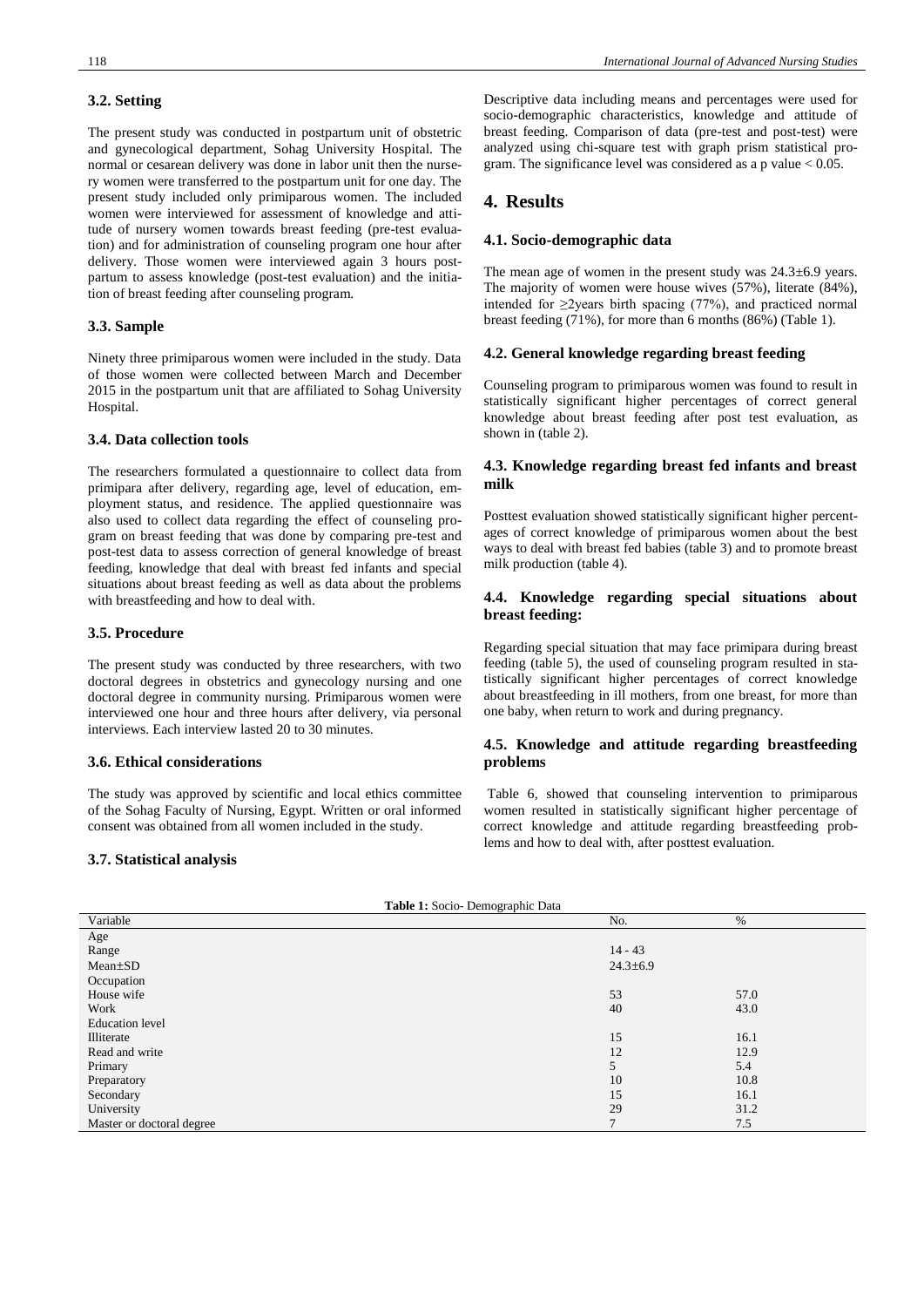## **3.2. Setting**

The present study was conducted in postpartum unit of obstetric and gynecological department, Sohag University Hospital. The normal or cesarean delivery was done in labor unit then the nursery women were transferred to the postpartum unit for one day. The present study included only primiparous women. The included women were interviewed for assessment of knowledge and attitude of nursery women towards breast feeding (pre-test evaluation) and for administration of counseling program one hour after delivery. Those women were interviewed again 3 hours postpartum to assess knowledge (post-test evaluation) and the initiation of breast feeding after counseling program.

#### **3.3. Sample**

Ninety three primiparous women were included in the study. Data of those women were collected between March and December 2015 in the postpartum unit that are affiliated to Sohag University Hospital.

#### **3.4. Data collection tools**

The researchers formulated a questionnaire to collect data from primipara after delivery, regarding age, level of education, employment status, and residence. The applied questionnaire was also used to collect data regarding the effect of counseling program on breast feeding that was done by comparing pre-test and post-test data to assess correction of general knowledge of breast feeding, knowledge that deal with breast fed infants and special situations about breast feeding as well as data about the problems with breastfeeding and how to deal with.

## **3.5. Procedure**

The present study was conducted by three researchers, with two doctoral degrees in obstetrics and gynecology nursing and one doctoral degree in community nursing. Primiparous women were interviewed one hour and three hours after delivery, via personal interviews. Each interview lasted 20 to 30 minutes.

#### **3.6. Ethical considerations**

The study was approved by scientific and local ethics committee of the Sohag Faculty of Nursing, Egypt. Written or oral informed consent was obtained from all women included in the study.

#### **3.7. Statistical analysis**

Descriptive data including means and percentages were used for socio-demographic characteristics, knowledge and attitude of breast feeding. Comparison of data (pre-test and post-test) were analyzed using chi-square test with graph prism statistical program. The significance level was considered as a p value  $< 0.05$ .

# **4. Results**

#### **4.1. Socio-demographic data**

The mean age of women in the present study was  $24.3\pm6.9$  years. The majority of women were house wives (57%), literate (84%), intended for  $\geq$ 2years birth spacing (77%), and practiced normal breast feeding (71%), for more than 6 months (86%) (Table 1).

#### **4.2. General knowledge regarding breast feeding**

Counseling program to primiparous women was found to result in statistically significant higher percentages of correct general knowledge about breast feeding after post test evaluation, as shown in (table 2).

## **4.3. Knowledge regarding breast fed infants and breast milk**

Posttest evaluation showed statistically significant higher percentages of correct knowledge of primiparous women about the best ways to deal with breast fed babies (table 3) and to promote breast milk production (table 4).

## **4.4. Knowledge regarding special situations about breast feeding:**

Regarding special situation that may face primipara during breast feeding (table 5), the used of counseling program resulted in statistically significant higher percentages of correct knowledge about breastfeeding in ill mothers, from one breast, for more than one baby, when return to work and during pregnancy.

#### **4.5. Knowledge and attitude regarding breastfeeding problems**

Table 6, showed that counseling intervention to primiparous women resulted in statistically significant higher percentage of correct knowledge and attitude regarding breastfeeding problems and how to deal with, after posttest evaluation.

|  | Table 1: Socio- Demographic Data |  |
|--|----------------------------------|--|
|  |                                  |  |

| Variable                  | No.            | %    |
|---------------------------|----------------|------|
| Age                       |                |      |
| Range                     | $14 - 43$      |      |
| $Mean \pm SD$             | $24.3 \pm 6.9$ |      |
| Occupation                |                |      |
| House wife                | 53             | 57.0 |
| Work                      | 40             | 43.0 |
| <b>Education</b> level    |                |      |
| Illiterate                | 15             | 16.1 |
| Read and write            | 12             | 12.9 |
| Primary                   | 5              | 5.4  |
| Preparatory               | 10             | 10.8 |
| Secondary                 | 15             | 16.1 |
| University                | 29             | 31.2 |
| Master or doctoral degree | $\mathbf{r}$   | 7.5  |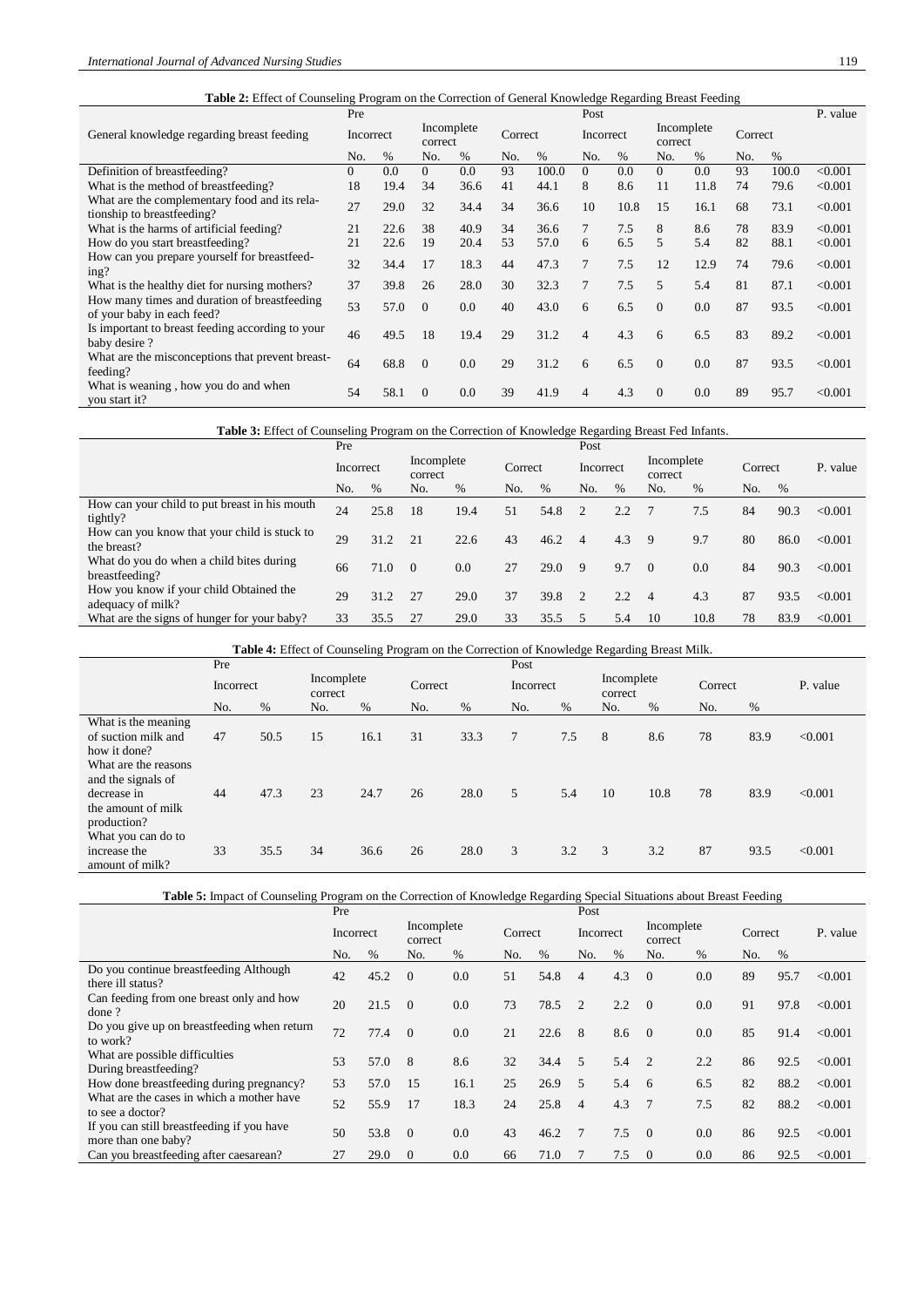| <b>Table 2:</b> Effect of Counseling Program on the Correction of General Knowledge Regarding Breast Feeding |          |           |                       |      |         |       |                |      |                       |      |         |       |          |
|--------------------------------------------------------------------------------------------------------------|----------|-----------|-----------------------|------|---------|-------|----------------|------|-----------------------|------|---------|-------|----------|
|                                                                                                              | Pre      |           |                       |      |         |       | Post           |      |                       |      |         |       | P. value |
| General knowledge regarding breast feeding                                                                   |          | Incorrect | Incomplete<br>correct |      | Correct |       | Incorrect      |      | Incomplete<br>correct |      | Correct |       |          |
|                                                                                                              |          | $\%$      | No.                   | $\%$ | No.     | $\%$  | No.            | $\%$ | No.                   | $\%$ | No.     | $\%$  |          |
| Definition of breastfeeding?                                                                                 | $\Omega$ | 0.0       | $\Omega$              | 0.0  | 93      | 100.0 | $\Omega$       | 0.0  | $\Omega$              | 0.0  | 93      | 100.0 | < 0.001  |
| What is the method of breastfeeding?                                                                         | 18       | 19.4      | 34                    | 36.6 | 41      | 44.1  | 8              | 8.6  | 11                    | 11.8 | 74      | 79.6  | < 0.001  |
| What are the complementary food and its rela-<br>tionship to breastfeeding?                                  | 27       | 29.0      | 32                    | 34.4 | 34      | 36.6  | 10             | 10.8 | 15                    | 16.1 | 68      | 73.1  | < 0.001  |
| What is the harms of artificial feeding?                                                                     | 21       | 22.6      | 38                    | 40.9 | 34      | 36.6  | $\tau$         | 7.5  | 8                     | 8.6  | 78      | 83.9  | < 0.001  |
| How do you start breastfeeding?                                                                              | 21       | 22.6      | 19                    | 20.4 | 53      | 57.0  | 6              | 6.5  | 5                     | 5.4  | 82      | 88.1  | < 0.001  |
| How can you prepare yourself for breastfeed-<br>ing?                                                         | 32       | 34.4      | 17                    | 18.3 | 44      | 47.3  | $\tau$         | 7.5  | 12                    | 12.9 | 74      | 79.6  | < 0.001  |
| What is the healthy diet for nursing mothers?                                                                | 37       | 39.8      | 26                    | 28.0 | 30      | 32.3  | $\tau$         | 7.5  | 5                     | 5.4  | 81      | 87.1  | < 0.001  |
| How many times and duration of breastfeeding<br>of your baby in each feed?                                   | 53       | 57.0      | $\Omega$              | 0.0  | 40      | 43.0  | 6              | 6.5  | $\Omega$              | 0.0  | 87      | 93.5  | < 0.001  |
| Is important to breast feeding according to your<br>baby desire?                                             | 46       | 49.5      | 18                    | 19.4 | 29      | 31.2  | $\overline{4}$ | 4.3  | 6                     | 6.5  | 83      | 89.2  | < 0.001  |
| What are the misconceptions that prevent breast-<br>feeding?                                                 | 64       | 68.8      | $\Omega$              | 0.0  | 29      | 31.2  | 6              | 6.5  | $\Omega$              | 0.0  | 87      | 93.5  | < 0.001  |
| What is weaning, how you do and when<br>you start it?                                                        | 54       | 58.1      | $\Omega$              | 0.0  | 39      | 41.9  | 4              | 4.3  | $\Omega$              | 0.0  | 89      | 95.7  | < 0.001  |

#### **Table 3:** Effect of Counseling Program on the Correction of Knowledge Regarding Breast Fed Infants.

|                                                              | Pre |                                    |          |      |     |         | Post           |           |                |                       |     |         |          |
|--------------------------------------------------------------|-----|------------------------------------|----------|------|-----|---------|----------------|-----------|----------------|-----------------------|-----|---------|----------|
|                                                              |     | Incomplete<br>Incorrect<br>correct |          |      |     | Correct |                | Incorrect |                | Incomplete<br>correct |     | Correct | P. value |
|                                                              | No. | $\%$                               | No.      | $\%$ | No. | $\%$    | No.            | $\%$      | No.            | $\%$                  | No. | %       |          |
| How can your child to put breast in his mouth<br>tightly?    | 24  | 25.8                               | 18       | 19.4 | 51  | 54.8    | $\overline{2}$ | 2.2       |                | 7.5                   | 84  | 90.3    | < 0.001  |
| How can you know that your child is stuck to<br>the breast?  | 29  | 31.2                               | 21       | 22.6 | 43  | 46.2    | $\Delta$       | 4.3       | 9              | 9.7                   | 80  | 86.0    | < 0.001  |
| What do you do when a child bites during<br>breastfeeding?   | 66  | 71.0                               | $\Omega$ | 0.0  | 27  | 29.0    | 9              | 9.7       | $\Omega$       | 0.0                   | 84  | 90.3    | < 0.001  |
| How you know if your child Obtained the<br>adequacy of milk? | 29  | 31.2                               | 27       | 29.0 | 37  | 39.8    | $\overline{2}$ | 2.2       | $\overline{4}$ | 4.3                   | 87  | 93.5    | < 0.001  |
| What are the signs of hunger for your baby?                  | 33  | 35.5                               | 27       | 29.0 | 33  | 35.5    | 5              | 5.4       | 10             | 10.8                  | 78  | 83.9    | < 0.001  |

**Table 4:** Effect of Counseling Program on the Correction of Knowledge Regarding Breast Milk.

|                                                                                    | Pre       |      |                       |      |         |      |           | Post |                       |      |         |      |          |  |
|------------------------------------------------------------------------------------|-----------|------|-----------------------|------|---------|------|-----------|------|-----------------------|------|---------|------|----------|--|
|                                                                                    | Incorrect |      | Incomplete<br>correct |      | Correct |      | Incorrect |      | Incomplete<br>correct |      | Correct |      | P. value |  |
|                                                                                    | No.       | %    | No.                   | %    | No.     | %    | No.       | %    | No.                   | %    | No.     | %    |          |  |
| What is the meaning<br>of suction milk and<br>how it done?<br>What are the reasons | 47        | 50.5 | 15                    | 16.1 | 31      | 33.3 | 7         | 7.5  | 8                     | 8.6  | 78      | 83.9 | < 0.001  |  |
| and the signals of<br>decrease in<br>the amount of milk<br>production?             | 44        | 47.3 | 23                    | 24.7 | 26      | 28.0 | 5         | 5.4  | 10                    | 10.8 | 78      | 83.9 | < 0.001  |  |
| What you can do to<br>increase the<br>amount of milk?                              | 33        | 35.5 | 34                    | 36.6 | 26      | 28.0 | 3         | 3.2  | 3                     | 3.2  | 87      | 93.5 | < 0.001  |  |

**Table 5:** Impact of Counseling Program on the Correction of Knowledge Regarding Special Situations about Breast Feeding

|                                                                   | Pre       |      |          |            |     |         | Post                     |           |                       |      |         |      |          |
|-------------------------------------------------------------------|-----------|------|----------|------------|-----|---------|--------------------------|-----------|-----------------------|------|---------|------|----------|
|                                                                   | Incorrect |      | correct  | Incomplete |     | Correct |                          | Incorrect | Incomplete<br>correct |      | Correct |      | P. value |
|                                                                   | No.       | %    | No.      | %          | No. | $\%$    | No.                      | $\%$      | No.                   | $\%$ | No.     | $\%$ |          |
| Do you continue breastfeeding Although<br>there ill status?       | 42        | 45.2 | $\Omega$ | 0.0        | 51  | 54.8    | $\overline{4}$           | 4.3       | $\theta$              | 0.0  | 89      | 95.7 | < 0.001  |
| Can feeding from one breast only and how<br>done?                 | 20        | 21.5 | $\Omega$ | 0.0        | 73  | 78.5    | $\overline{2}$           | 2.2       | $\overline{0}$        | 0.0  | 91      | 97.8 | < 0.001  |
| Do you give up on breastfeeding when return<br>to work?           | 72        | 77.4 | $\Omega$ | 0.0        | 21  | 22.6    | 8                        | 8.6       | $\overline{0}$        | 0.0  | 85      | 91.4 | < 0.001  |
| What are possible difficulties<br>During breastfeeding?           | 53        | 57.0 | 8        | 8.6        | 32  | 34.4    | $\overline{5}$           | 5.4       | $\overline{2}$        | 2.2  | 86      | 92.5 | < 0.001  |
| How done breastfeeding during pregnancy?                          | 53        | 57.0 | 15       | 16.1       | 25  | 26.9    | 5                        | 5.4       | - 6                   | 6.5  | 82      | 88.2 | < 0.001  |
| What are the cases in which a mother have<br>to see a doctor?     | 52        | 55.9 | 17       | 18.3       | 24  | 25.8    | $\overline{\mathcal{A}}$ | 4.3       | $\overline{7}$        | 7.5  | 82      | 88.2 | < 0.001  |
| If you can still breastfeeding if you have<br>more than one baby? | 50        | 53.8 | $\Omega$ | 0.0        | 43  | 46.2    | $\tau$                   | 7.5       | $\overline{0}$        | 0.0  | 86      | 92.5 | < 0.001  |
| Can you breastfeeding after caesarean?                            | 27        | 29.0 | $\Omega$ | 0.0        | 66  | 71.0    |                          | 7.5       | $\theta$              | 0.0  | 86      | 92.5 | < 0.001  |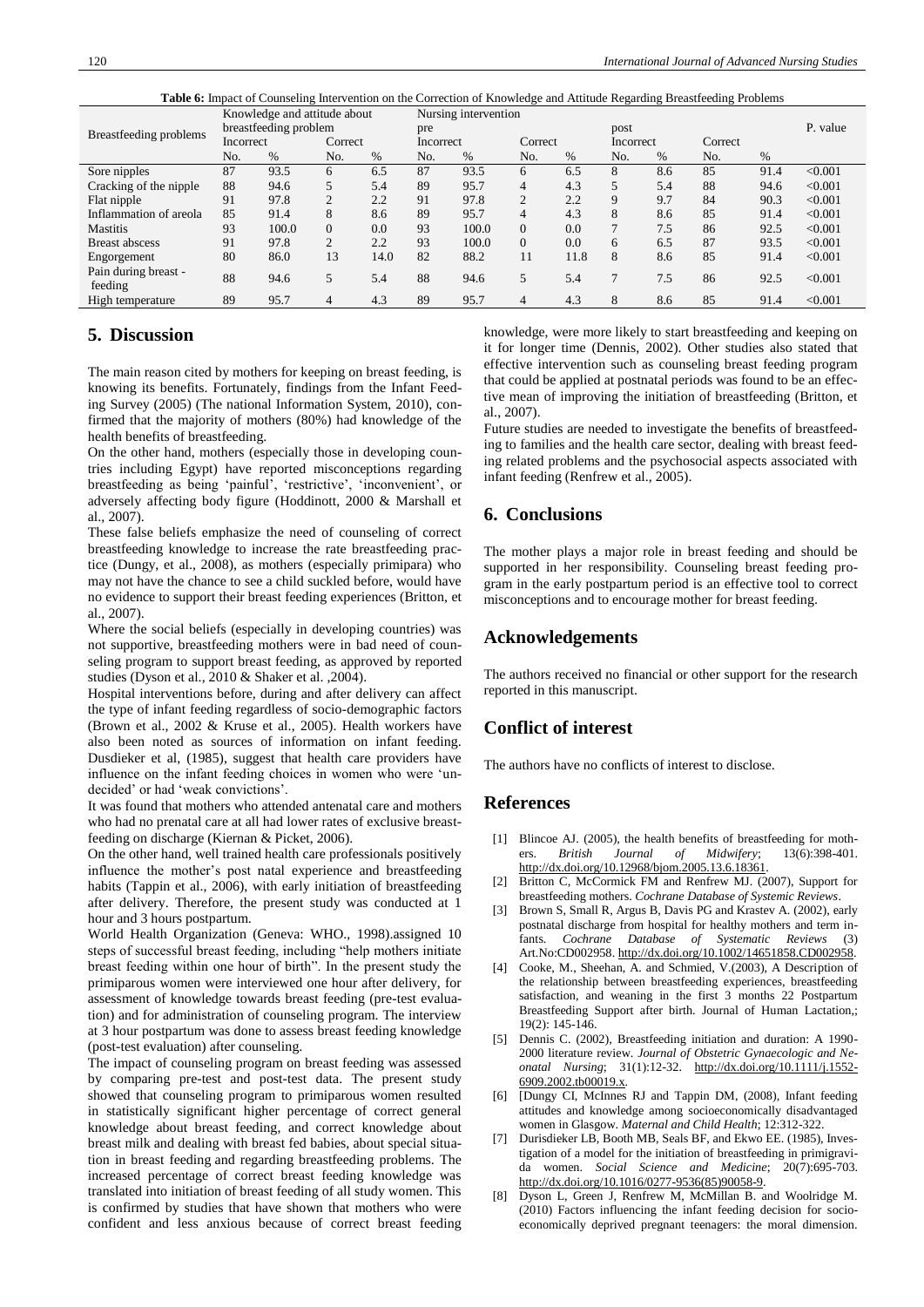|--|

|                                 |           | Knowledge and attitude about |                |      | Nursing intervention |       |                |      |           |      |         |      |          |
|---------------------------------|-----------|------------------------------|----------------|------|----------------------|-------|----------------|------|-----------|------|---------|------|----------|
| Breastfeeding problems          |           | breastfeeding problem        |                |      | pre                  |       |                |      | post      |      |         |      | P. value |
|                                 | Incorrect |                              | Correct        |      | Incorrect            |       | Correct        |      | Incorrect |      | Correct |      |          |
|                                 | No.       | $\%$                         | No.            | %    | No.                  | $\%$  | No.            | $\%$ | No.       | $\%$ | No.     | %    |          |
| Sore nipples                    | 87        | 93.5                         | 6              | 6.5  | 87                   | 93.5  | 6              | 6.5  | 8         | 8.6  | 85      | 91.4 | < 0.001  |
| Cracking of the nipple          | 88        | 94.6                         | 5              | 5.4  | 89                   | 95.7  | 4              | 4.3  | 5         | 5.4  | 88      | 94.6 | < 0.001  |
| Flat nipple                     | 91        | 97.8                         | $\overline{c}$ | 2.2  | 91                   | 97.8  | $\overline{c}$ | 2.2  | 9         | 9.7  | 84      | 90.3 | < 0.001  |
| Inflammation of areola          | 85        | 91.4                         | 8              | 8.6  | 89                   | 95.7  | 4              | 4.3  | 8         | 8.6  | 85      | 91.4 | < 0.001  |
| <b>Mastitis</b>                 | 93        | 100.0                        | $\Omega$       | 0.0  | 93                   | 100.0 | $\Omega$       | 0.0  |           | 7.5  | 86      | 92.5 | < 0.001  |
| <b>Breast abscess</b>           | 91        | 97.8                         | $\overline{c}$ | 2.2  | 93                   | 100.0 | $\Omega$       | 0.0  | 6         | 6.5  | 87      | 93.5 | < 0.001  |
| Engorgement                     | 80        | 86.0                         | 13             | 14.0 | 82                   | 88.2  | 11             | 11.8 | 8         | 8.6  | 85      | 91.4 | < 0.001  |
| Pain during breast -<br>feeding | 88        | 94.6                         | 5              | 5.4  | 88                   | 94.6  | 5              | 5.4  | 7         | 7.5  | 86      | 92.5 | < 0.001  |
| High temperature                | 89        | 95.7                         | 4              | 4.3  | 89                   | 95.7  | 4              | 4.3  | 8         | 8.6  | 85      | 91.4 | < 0.001  |

# **5. Discussion**

The main reason cited by mothers for keeping on breast feeding, is knowing its benefits. Fortunately, findings from the Infant Feeding Survey (2005) (The national Information System, 2010), confirmed that the majority of mothers (80%) had knowledge of the health benefits of breastfeeding.

On the other hand, mothers (especially those in developing countries including Egypt) have reported misconceptions regarding breastfeeding as being 'painful', 'restrictive', 'inconvenient', or adversely affecting body figure (Hoddinott, 2000 & Marshall et al., 2007).

These false beliefs emphasize the need of counseling of correct breastfeeding knowledge to increase the rate breastfeeding practice (Dungy, et al., 2008), as mothers (especially primipara) who may not have the chance to see a child suckled before, would have no evidence to support their breast feeding experiences (Britton, et al., 2007).

Where the social beliefs (especially in developing countries) was not supportive, breastfeeding mothers were in bad need of counseling program to support breast feeding, as approved by reported studies (Dyson et al., 2010 & Shaker et al. ,2004).

Hospital interventions before, during and after delivery can affect the type of infant feeding regardless of socio-demographic factors (Brown et al., 2002 & Kruse et al., 2005). Health workers have also been noted as sources of information on infant feeding. Dusdieker et al, (1985), suggest that health care providers have influence on the infant feeding choices in women who were 'undecided' or had 'weak convictions'.

It was found that mothers who attended antenatal care and mothers who had no prenatal care at all had lower rates of exclusive breastfeeding on discharge (Kiernan & Picket, 2006).

On the other hand, well trained health care professionals positively influence the mother's post natal experience and breastfeeding habits (Tappin et al., 2006), with early initiation of breastfeeding after delivery. Therefore, the present study was conducted at 1 hour and 3 hours postpartum.

World Health Organization (Geneva: WHO., 1998).assigned 10 steps of successful breast feeding, including "help mothers initiate breast feeding within one hour of birth". In the present study the primiparous women were interviewed one hour after delivery, for assessment of knowledge towards breast feeding (pre-test evaluation) and for administration of counseling program. The interview at 3 hour postpartum was done to assess breast feeding knowledge (post-test evaluation) after counseling.

The impact of counseling program on breast feeding was assessed by comparing pre-test and post-test data. The present study showed that counseling program to primiparous women resulted in statistically significant higher percentage of correct general knowledge about breast feeding, and correct knowledge about breast milk and dealing with breast fed babies, about special situation in breast feeding and regarding breastfeeding problems. The increased percentage of correct breast feeding knowledge was translated into initiation of breast feeding of all study women. This is confirmed by studies that have shown that mothers who were confident and less anxious because of correct breast feeding

knowledge, were more likely to start breastfeeding and keeping on it for longer time (Dennis, 2002). Other studies also stated that effective intervention such as counseling breast feeding program that could be applied at postnatal periods was found to be an effective mean of improving the initiation of breastfeeding (Britton, et al., 2007).

Future studies are needed to investigate the benefits of breastfeeding to families and the health care sector, dealing with breast feeding related problems and the psychosocial aspects associated with infant feeding (Renfrew et al., 2005).

# **6. Conclusions**

The mother plays a major role in breast feeding and should be supported in her responsibility. Counseling breast feeding program in the early postpartum period is an effective tool to correct misconceptions and to encourage mother for breast feeding.

## **Acknowledgements**

The authors received no financial or other support for the research reported in this manuscript.

## **Conflict of interest**

The authors have no conflicts of interest to disclose.

## **References**

- [1] Blincoe AJ. (2005), the health benefits of breastfeeding for mothers. *British Journal of Midwifery*; 13(6):398-401. [http://dx.doi.org/10.12968/bjom.2005.13.6.18361.](http://dx.doi.org/10.12968/bjom.2005.13.6.18361)
- [2] Britton C, McCormick FM and Renfrew MJ. (2007), Support for breastfeeding mothers. *Cochrane Database of Systemic Reviews*.
- [3] Brown S, Small R, Argus B, Davis PG and Krastev A. (2002), early postnatal discharge from hospital for healthy mothers and term infants. *Cochrane Database of Systematic Reviews* (3) Art.No:CD002958. [http://dx.doi.org/10.1002/14651858.CD002958.](http://dx.doi.org/10.1002/14651858.CD002958)
- [4] Cooke, M., Sheehan, A. and Schmied, V.(2003), A Description of the relationship between breastfeeding experiences, breastfeeding satisfaction, and weaning in the first 3 months 22 Postpartum Breastfeeding Support after birth. Journal of Human Lactation,; 19(2): 145-146.
- [5] Dennis C. (2002), Breastfeeding initiation and duration: A 1990- 2000 literature review. *Journal of Obstetric Gynaecologic and Neonatal Nursing*; 31(1):12-32. [http://dx.doi.org/10.1111/j.1552-](http://dx.doi.org/10.1111/j.1552-6909.2002.tb00019.x) [6909.2002.tb00019.x.](http://dx.doi.org/10.1111/j.1552-6909.2002.tb00019.x)
- [6] [Dungy CI, McInnes RJ and Tappin DM, (2008), Infant feeding attitudes and knowledge among socioeconomically disadvantaged women in Glasgow. *Maternal and Child Health*; 12:312-322.
- [7] Durisdieker LB, Booth MB, Seals BF, and Ekwo EE. (1985), Investigation of a model for the initiation of breastfeeding in primigravida women. *Social Science and Medicine*; 20(7):695-703. [http://dx.doi.org/10.1016/0277-9536\(85\)90058-9.](http://dx.doi.org/10.1016/0277-9536(85)90058-9)
- [8] Dyson L, Green J, Renfrew M, McMillan B. and Woolridge M. (2010) Factors influencing the infant feeding decision for socioeconomically deprived pregnant teenagers: the moral dimension.